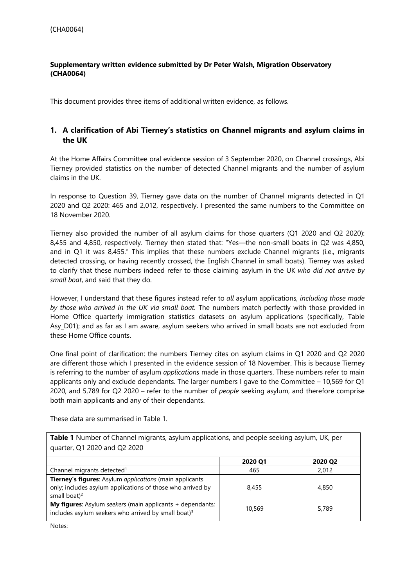## **Supplementary written evidence submitted by Dr Peter Walsh, Migration Observatory (CHA0064)**

This document provides three items of additional written evidence, as follows.

## **1. A clarification of Abi Tierney's statistics on Channel migrants and asylum claims in the UK**

At the Home Affairs Committee oral evidence session of 3 September 2020, on Channel crossings, Abi Tierney provided statistics on the number of detected Channel migrants and the number of asylum claims in the UK.

In response to Question 39, Tierney gave data on the number of Channel migrants detected in Q1 2020 and Q2 2020: 465 and 2,012, respectively. I presented the same numbers to the Committee on 18 November 2020.

Tierney also provided the number of all asylum claims for those quarters (Q1 2020 and Q2 2020): 8,455 and 4,850, respectively. Tierney then stated that: "Yes—the non-small boats in Q2 was 4,850, and in Q1 it was 8,455." This implies that these numbers exclude Channel migrants (i.e., migrants detected crossing, or having recently crossed, the English Channel in small boats). Tierney was asked to clarify that these numbers indeed refer to those claiming asylum in the UK *who did not arrive by small boat*, and said that they do.

However, I understand that these figures instead refer to *all* asylum applications, *including those made by those who arrived in the UK via small boat.* The numbers match perfectly with those provided in Home Office quarterly immigration statistics datasets on asylum applications (specifically, Table Asy D01); and as far as I am aware, asylum seekers who arrived in small boats are not excluded from these Home Office counts.

One final point of clarification: the numbers Tierney cites on asylum claims in Q1 2020 and Q2 2020 are different those which I presented in the evidence session of 18 November. This is because Tierney is referring to the number of asylum *applications* made in those quarters. These numbers refer to main applicants only and exclude dependants. The larger numbers I gave to the Committee – 10,569 for Q1 2020, and 5,789 for Q2 2020 – refer to the number of *people* seeking asylum, and therefore comprise both main applicants and any of their dependants.

These data are summarised in Table 1.

**Table 1** Number of Channel migrants, asylum applications, and people seeking asylum, UK, per quarter, Q1 2020 and Q2 2020

|                                                                                                                                           | 2020 Q1 | 2020 Q2 |
|-------------------------------------------------------------------------------------------------------------------------------------------|---------|---------|
| Channel migrants detected <sup>1</sup>                                                                                                    | 465     | 2,012   |
| Tierney's figures: Asylum applications (main applicants<br>only; includes asylum applications of those who arrived by<br>small boat) $^2$ | 8.455   | 4,850   |
| My figures: Asylum seekers (main applicants + dependants;<br>includes asylum seekers who arrived by small boat) <sup>3</sup>              | 10,569  | 5,789   |

Notes: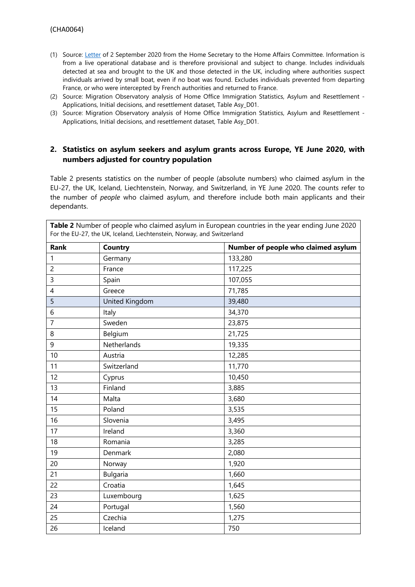- (1) Source: [Letter](https://committees.parliament.uk/publications/2333/documents/22962/default/) of 2 September 2020 from the Home Secretary to the Home Affairs Committee. Information is from a live operational database and is therefore provisional and subject to change. Includes individuals detected at sea and brought to the UK and those detected in the UK, including where authorities suspect individuals arrived by small boat, even if no boat was found. Excludes individuals prevented from departing France, or who were intercepted by French authorities and returned to France.
- (2) Source: Migration Observatory analysis of Home Office Immigration Statistics, Asylum and Resettlement Applications, Initial decisions, and resettlement dataset, Table Asy\_D01.
- (3) Source: Migration Observatory analysis of Home Office Immigration Statistics, Asylum and Resettlement Applications, Initial decisions, and resettlement dataset, Table Asy\_D01.

## **2. Statistics on asylum seekers and asylum grants across Europe, YE June 2020, with numbers adjusted for country population**

Table 2 presents statistics on the number of people (absolute numbers) who claimed asylum in the EU-27, the UK, Iceland, Liechtenstein, Norway, and Switzerland, in YE June 2020. The counts refer to the number of *people* who claimed asylum, and therefore include both main applicants and their dependants.

**Table 2** Number of people who claimed asylum in European countries in the year ending June 2020 For the EU-27, the UK, Iceland, Liechtenstein, Norway, and Switzerland

| <b>Rank</b>    | Country         | Number of people who claimed asylum |
|----------------|-----------------|-------------------------------------|
| 1              | Germany         | 133,280                             |
| $\overline{c}$ | France          | 117,225                             |
| 3              | Spain           | 107,055                             |
| 4              | Greece          | 71,785                              |
| 5              | United Kingdom  | 39,480                              |
| 6              | Italy           | 34,370                              |
| $\overline{7}$ | Sweden          | 23,875                              |
| 8              | Belgium         | 21,725                              |
| 9              | Netherlands     | 19,335                              |
| 10             | Austria         | 12,285                              |
| 11             | Switzerland     | 11,770                              |
| 12             | Cyprus          | 10,450                              |
| 13             | Finland         | 3,885                               |
| 14             | Malta           | 3,680                               |
| 15             | Poland          | 3,535                               |
| 16             | Slovenia        | 3,495                               |
| 17             | Ireland         | 3,360                               |
| 18             | Romania         | 3,285                               |
| 19             | <b>Denmark</b>  | 2,080                               |
| 20             | Norway          | 1,920                               |
| 21             | <b>Bulgaria</b> | 1,660                               |
| 22             | Croatia         | 1,645                               |
| 23             | Luxembourg      | 1,625                               |
| 24             | Portugal        | 1,560                               |
| 25             | Czechia         | 1,275                               |
| 26             | Iceland         | 750                                 |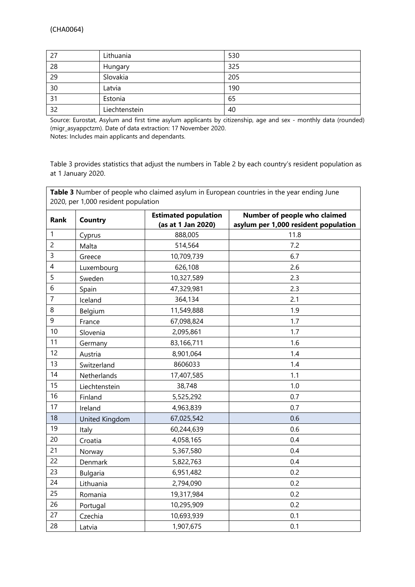| -27 | Lithuania     | 530 |
|-----|---------------|-----|
| 28  | Hungary       | 325 |
| 29  | Slovakia      | 205 |
| 30  | Latvia        | 190 |
| 31  | Estonia       | 65  |
| 32  | Liechtenstein | 40  |

Source: Eurostat, Asylum and first time asylum applicants by citizenship, age and sex - monthly data (rounded) (migr\_asyappctzm). Date of data extraction: 17 November 2020.

Notes: Includes main applicants and dependants.

Table 3 provides statistics that adjust the numbers in Table 2 by each country's resident population as at 1 January 2020.

**Table 3** Number of people who claimed asylum in European countries in the year ending June 2020, per 1,000 resident population

| Rank           | <b>Country</b>  | <b>Estimated population</b><br>(as at 1 Jan 2020) | Number of people who claimed<br>asylum per 1,000 resident population |
|----------------|-----------------|---------------------------------------------------|----------------------------------------------------------------------|
| 1              | Cyprus          | 888,005                                           | 11.8                                                                 |
| $\overline{c}$ | Malta           | 514,564                                           | 7.2                                                                  |
| 3              | Greece          | 10,709,739                                        | 6.7                                                                  |
| 4              | Luxembourg      | 626,108                                           | 2.6                                                                  |
| 5              | Sweden          | 10,327,589                                        | 2.3                                                                  |
| 6              | Spain           | 47,329,981                                        | 2.3                                                                  |
| $\overline{7}$ | Iceland         | 364,134                                           | 2.1                                                                  |
| 8              | Belgium         | 11,549,888                                        | 1.9                                                                  |
| 9              | France          | 67,098,824                                        | 1.7                                                                  |
| 10             | Slovenia        | 2,095,861                                         | 1.7                                                                  |
| 11             | Germany         | 83,166,711                                        | 1.6                                                                  |
| 12             | Austria         | 8,901,064                                         | 1.4                                                                  |
| 13             | Switzerland     | 8606033                                           | 1.4                                                                  |
| 14             | Netherlands     | 17,407,585                                        | 1.1                                                                  |
| 15             | Liechtenstein   | 38,748                                            | 1.0                                                                  |
| 16             | Finland         | 5,525,292                                         | 0.7                                                                  |
| 17             | Ireland         | 4,963,839                                         | 0.7                                                                  |
| 18             | United Kingdom  | 67,025,542                                        | 0.6                                                                  |
| 19             | Italy           | 60,244,639                                        | 0.6                                                                  |
| 20             | Croatia         | 4,058,165                                         | 0.4                                                                  |
| 21             | Norway          | 5,367,580                                         | 0.4                                                                  |
| 22             | Denmark         | 5,822,763                                         | 0.4                                                                  |
| 23             | <b>Bulgaria</b> | 6,951,482                                         | 0.2                                                                  |
| 24             | Lithuania       | 2,794,090                                         | 0.2                                                                  |
| 25             | Romania         | 19,317,984                                        | 0.2                                                                  |
| 26             | Portugal        | 10,295,909                                        | 0.2                                                                  |
| 27             | Czechia         | 10,693,939                                        | 0.1                                                                  |
| 28             | Latvia          | 1,907,675                                         | 0.1                                                                  |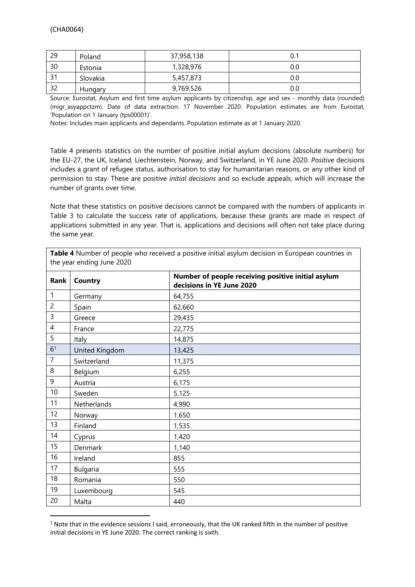| 29 | Poland   | 37,958,138 |     |
|----|----------|------------|-----|
| 30 | Estonia  | 1,328,976  | 0.0 |
| 31 | Slovakia | 5,457,873  | 0.0 |
| 32 | Hungary  | 9,769,526  | 0.0 |

Source: Eurostat, Asylum and first time asylum applicants by citizenship, age and sex - monthly data (rounded) (migr\_asyappctzm). Date of data extraction: 17 November 2020. Population estimates are from Eurostat, 'Population on 1 January (tps00001)'.

Notes: Includes main applicants and dependants. Population estimate as at 1 January 2020.

Table 4 presents statistics on the number of positive initial asylum decisions (absolute numbers) for the EU-27, the UK, Iceland, Liechtenstein, Norway, and Switzerland, in YE June 2020. *Positive* decisions includes a grant of refugee status, authorisation to stay for humanitarian reasons, or any other kind of permission to stay. These are positive *initial decisions* and so exclude appeals, which will increase the number of grants over time.

Note that these statistics on positive decisions cannot be compared with the numbers of applicants in Table 3 to calculate the success rate of applications, because these grants are made in respect of applications submitted in any year. That is, applications and decisions will often not take place during the same year.

|                | the year ending June 2020 |                                                                                 |
|----------------|---------------------------|---------------------------------------------------------------------------------|
| Rank           | <b>Country</b>            | Number of people receiving positive initial asylum<br>decisions in YE June 2020 |
| $\mathbf{1}$   | Germany                   | 64,755                                                                          |
| $\overline{2}$ | Spain                     | 62,660                                                                          |
| 3              | Greece                    | 29,435                                                                          |
| $\overline{4}$ | France                    | 22,775                                                                          |
| 5              | Italy                     | 14,875                                                                          |
| 6 <sup>1</sup> | United Kingdom            | 13,425                                                                          |
| $\overline{7}$ | Switzerland               | 11,375                                                                          |
| 8              | Belgium                   | 6,255                                                                           |
| 9              | Austria                   | 6,175                                                                           |
| 10             | Sweden                    | 5,125                                                                           |
| 11             | Netherlands               | 4,990                                                                           |
| 12             | Norway                    | 1,650                                                                           |
| 13             | Finland                   | 1,535                                                                           |
| 14             | Cyprus                    | 1,420                                                                           |
| 15             | <b>Denmark</b>            | 1,140                                                                           |
| 16             | Ireland                   | 855                                                                             |
| 17             | <b>Bulgaria</b>           | 555                                                                             |
| 18             | Romania                   | 550                                                                             |
| 19             | Luxembourg                | 545                                                                             |
| 20             | Malta                     | 440                                                                             |

**Table 4** Number of people who received a positive initial asylum decision in European countries in the year ending June 2020

<sup>1</sup> Note that in the evidence sessions I said, erroneously, that the UK ranked fifth in the number of positive initial decisions in YE June 2020. The correct ranking is sixth.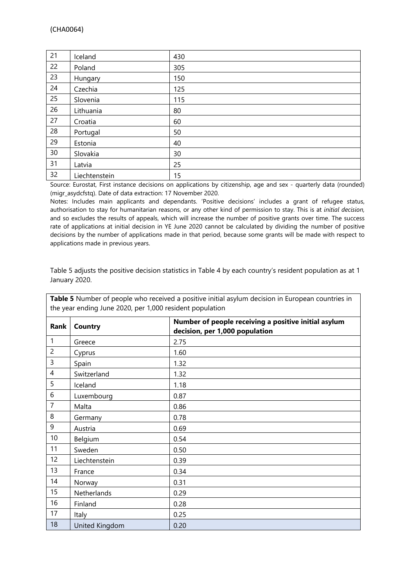| 21 | Iceland       | 430 |
|----|---------------|-----|
| 22 | Poland        | 305 |
| 23 | Hungary       | 150 |
| 24 | Czechia       | 125 |
| 25 | Slovenia      | 115 |
| 26 | Lithuania     | 80  |
| 27 | Croatia       | 60  |
| 28 | Portugal      | 50  |
| 29 | Estonia       | 40  |
| 30 | Slovakia      | 30  |
| 31 | Latvia        | 25  |
| 32 | Liechtenstein | 15  |

Source: Eurostat, First instance decisions on applications by citizenship, age and sex - quarterly data (rounded) (migr\_asydcfstq). Date of data extraction: 17 November 2020.

Notes: Includes main applicants and dependants. 'Positive decisions' includes a grant of refugee status, authorisation to stay for humanitarian reasons, or any other kind of permission to stay. This is at *initial decision,* and so excludes the results of appeals, which will increase the number of positive grants over time. The success rate of applications at initial decision in YE June 2020 cannot be calculated by dividing the number of positive decisions by the number of applications made in that period, because some grants will be made with respect to applications made in previous years.

Table 5 adjusts the positive decision statistics in Table 4 by each country's resident population as at 1 January 2020.

| Table 5 Number of people who received a positive initial asylum decision in European countries in<br>the year ending June 2020, per 1,000 resident population |                |                                                                                        |
|---------------------------------------------------------------------------------------------------------------------------------------------------------------|----------------|----------------------------------------------------------------------------------------|
| Rank                                                                                                                                                          | <b>Country</b> | Number of people receiving a positive initial asylum<br>decision, per 1,000 population |
| 1                                                                                                                                                             | Greece         | 2.75                                                                                   |
| $\overline{c}$                                                                                                                                                | Cyprus         | 1.60                                                                                   |
| 3                                                                                                                                                             | Spain          | 1.32                                                                                   |
| 4                                                                                                                                                             | Switzerland    | 1.32                                                                                   |
| 5                                                                                                                                                             | Iceland        | 1.18                                                                                   |
| 6                                                                                                                                                             | Luxembourg     | 0.87                                                                                   |
| 7                                                                                                                                                             | Malta          | 0.86                                                                                   |
| 8                                                                                                                                                             | Germany        | 0.78                                                                                   |
| 9                                                                                                                                                             | Austria        | 0.69                                                                                   |
| 10                                                                                                                                                            | Belgium        | 0.54                                                                                   |
| 11                                                                                                                                                            | Sweden         | 0.50                                                                                   |
| 12                                                                                                                                                            | Liechtenstein  | 0.39                                                                                   |
| 13                                                                                                                                                            | France         | 0.34                                                                                   |
| 14                                                                                                                                                            | Norway         | 0.31                                                                                   |
| 15                                                                                                                                                            | Netherlands    | 0.29                                                                                   |
| 16                                                                                                                                                            | Finland        | 0.28                                                                                   |
| 17                                                                                                                                                            | Italy          | 0.25                                                                                   |
| 18                                                                                                                                                            | United Kingdom | 0.20                                                                                   |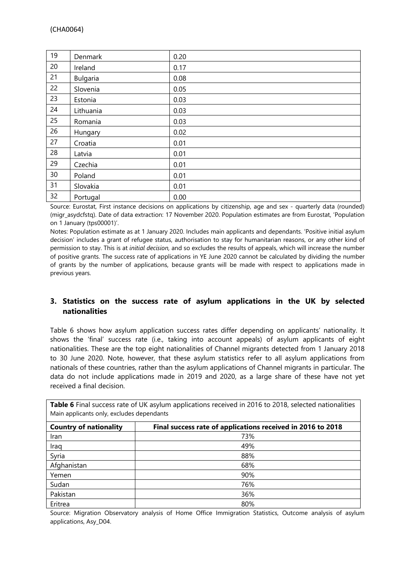| 19 | Denmark         | 0.20 |
|----|-----------------|------|
| 20 | Ireland         | 0.17 |
| 21 | <b>Bulgaria</b> | 0.08 |
| 22 | Slovenia        | 0.05 |
| 23 | Estonia         | 0.03 |
| 24 | Lithuania       | 0.03 |
| 25 | Romania         | 0.03 |
| 26 | Hungary         | 0.02 |
| 27 | Croatia         | 0.01 |
| 28 | Latvia          | 0.01 |
| 29 | Czechia         | 0.01 |
| 30 | Poland          | 0.01 |
| 31 | Slovakia        | 0.01 |
| 32 | Portugal        | 0.00 |

Source: Eurostat, First instance decisions on applications by citizenship, age and sex - quarterly data (rounded) (migr\_asydcfstq). Date of data extraction: 17 November 2020. Population estimates are from Eurostat, 'Population on 1 January (tps00001)'.

Notes: Population estimate as at 1 January 2020. Includes main applicants and dependants. 'Positive initial asylum decision' includes a grant of refugee status, authorisation to stay for humanitarian reasons, or any other kind of permission to stay. This is at *initial decision,* and so excludes the results of appeals, which will increase the number of positive grants. The success rate of applications in YE June 2020 cannot be calculated by dividing the number of grants by the number of applications, because grants will be made with respect to applications made in previous years.

## **3. Statistics on the success rate of asylum applications in the UK by selected nationalities**

Table 6 shows how asylum application success rates differ depending on applicants' nationality. It shows the 'final' success rate (i.e., taking into account appeals) of asylum applicants of eight nationalities. These are the top eight nationalities of Channel migrants detected from 1 January 2018 to 30 June 2020. Note, however, that these asylum statistics refer to all asylum applications from nationals of these countries, rather than the asylum applications of Channel migrants in particular. The data do not include applications made in 2019 and 2020, as a large share of these have not yet received a final decision.

**Table 6** Final success rate of UK asylum applications received in 2016 to 2018, selected nationalities  $\vert$ 

| Main applicants only, excludes dependants |                                                             |  |
|-------------------------------------------|-------------------------------------------------------------|--|
| <b>Country of nationality</b>             | Final success rate of applications received in 2016 to 2018 |  |
| Iran                                      | 73%                                                         |  |
| Iraq                                      | 49%                                                         |  |
| Syria                                     | 88%                                                         |  |
| Afghanistan                               | 68%                                                         |  |
| Yemen                                     | 90%                                                         |  |
| Sudan                                     | 76%                                                         |  |
| Pakistan                                  | 36%                                                         |  |
| Eritrea                                   | 80%                                                         |  |

Source: Migration Observatory analysis of Home Office Immigration Statistics, Outcome analysis of asylum applications, Asy\_D04.